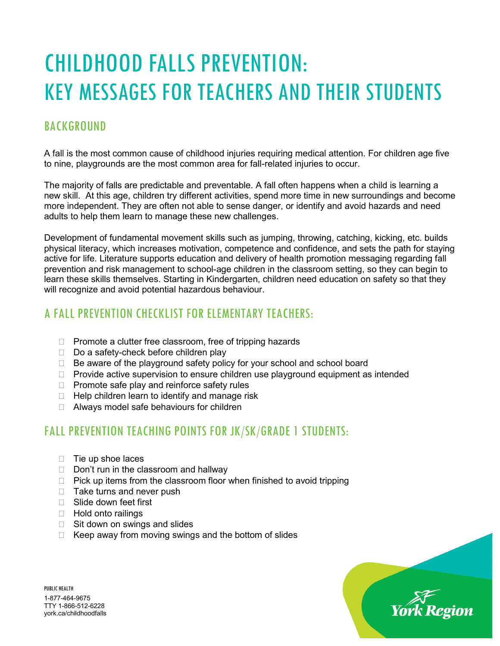# CHILDHOOD FALLS PREVENTION: KEY MESSAGES FOR TEACHERS AND THEIR STUDENTS

## **BACKGROUND**

A fall is the most common cause of childhood injuries requiring medical attention. For children age five to nine, playgrounds are the most common area for fall-related injuries to occur.

The majority of falls are predictable and preventable. A fall often happens when a child is learning a new skill. At this age, children try different activities, spend more time in new surroundings and become more independent. They are often not able to sense danger, or identify and avoid hazards and need adults to help them learn to manage these new challenges.

Development of fundamental movement skills such as jumping, throwing, catching, kicking, etc. builds physical literacy, which increases motivation, competence and confidence, and sets the path for staying active for life. Literature supports education and delivery of health promotion messaging regarding fall prevention and risk management to school-age children in the classroom setting, so they can begin to learn these skills themselves. Starting in Kindergarten, children need education on safety so that they will recognize and avoid potential hazardous behaviour.

## A FALL PREVENTION CHECKLIST FOR ELEMENTARY TEACHERS:

- $\Box$  Promote a clutter free classroom, free of tripping hazards
- $\Box$  Do a safety-check before children play
- □ Be aware of the playground safety policy for your school and school board
- $\Box$  Provide active supervision to ensure children use playground equipment as intended
- $\Box$  Promote safe play and reinforce safety rules
- $\Box$  Help children learn to identify and manage risk
- □ Always model safe behaviours for children

## FALL PREVENTION TEACHING POINTS FOR JK/SK/GRADE 1 STUDENTS:

- $\Box$  Tie up shoe laces
- $\Box$  Don't run in the classroom and hallway
- $\Box$  Pick up items from the classroom floor when finished to avoid tripping
- $\Box$  Take turns and never push
- Slide down feet first
- □ Hold onto railings
- $\Box$  Sit down on swings and slides
- $\Box$  Keep away from moving swings and the bottom of slides



PUBLIC HEALTH 1-877-464-9675 TTY 1-866-512-6228 york.ca/childhoodfalls